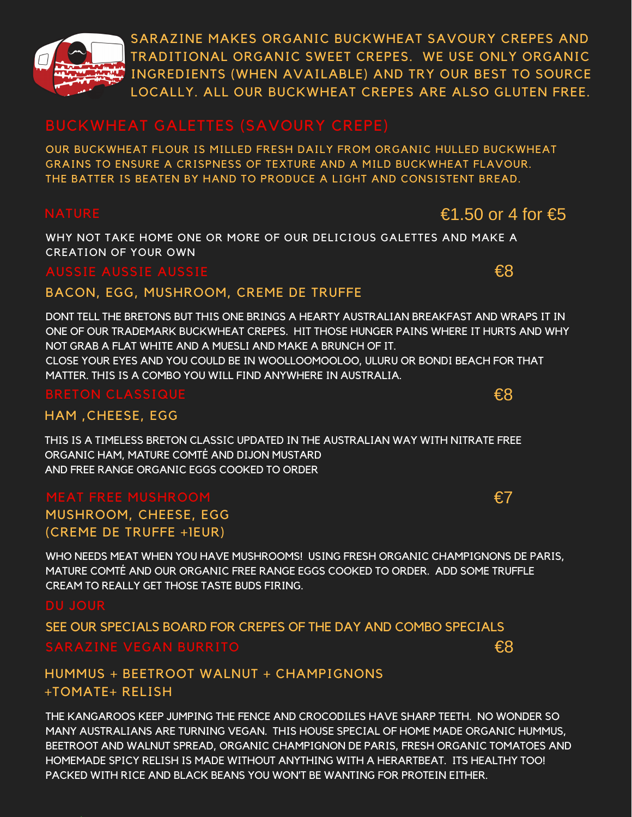

SARAZINE MAKES ORGANIC BUCKWHEAT SAVOURY CREPES AND TRADITIONAL ORGANIC SWEET CREPES. WE USE ONLY ORGANIC INGREDIENTS (WHEN AVAILABLE) AND TRY OUR BEST TO SOURCE LOCALLY. ALL OUR BUCKWHEAT CREPES ARE ALSO GLUTEN FREE.

OUR BUCKWHEAT FLOUR IS MILLED FRESH DAILY FROM ORGANIC HULLED BUCKWHEAT GRAINS TO ENSURE A CRISPNESS OF TEXTURE AND A MILD BUCKWHEAT FLAVOUR. THE BATTER IS BEATEN BY HAND TO PRODUCE A LIGHT AND CONSISTENT BREAD.

# €1.50 or 4 for  $€5$

€8

WHY NOT TAKE HOME ONE OR MORE OF OUR DELICIOUS GALETTES AND MAKE A CREATION OF YOUR OWN

### AUSSIE AUSSIE AUS

### BACON, EGG, MUSHROOM, CREME DE TRUFFE

DONT TELL THE BRETONS BUT THIS ONE BRINGS A HEARTY AUSTRALIAN BREAKFAST AND WRAPS IT IN ONE OF OUR TRADEMARK BUCKWHEAT CREPES. HIT THOSE HUNGER PAINS WHERE IT HURTS AND WHY NOT GRAB A FLAT WHITE AND A MUESLI AND MAKE A BRUNCH OF IT. CLOSE YOUR EYES AND YOU COULD BE IN WOOLLOOMOOLOO, ULURU OR BONDI BEACH FOR THAT MATTER. THIS IS A COMBO YOU WILL FIND ANYWHERE IN AUSTRALIA.

### $\epsilon$ BRETON CLASSIQUE  $\epsilon$ 8

### HAM ,CHEESE, EGG

THIS IS A TIMELESS BRETON CLASSIC UPDATED IN THE AUSTRALIAN WAY WITH NITRATE FREE ORGANIC HAM, MATURE COMTÉ AND DIJON MUSTARD AND FREE RANGE ORGANIC EGGS COOKED TO ORDER

# MUSHROOM, CHEESE, EGG (CREME DE TRUFFE +1EUR)

WHO NEEDS MEAT WHEN YOU HAVE MUSHROOMS! USING FRESH ORGANIC CHAMPIGNONS DE PARIS, MATURE COMTÉ AND OUR ORGANIC FREE RANGE EGGS COOKED TO ORDER. ADD SOME TRUFFLE CREAM TO REALLY GET THOSE TASTE BUDS FIRING.

### SEE OUR SPECIALS BOARD FOR CREPES OF THE DAY AND COMBO SPECIALS €8

### HUMMUS + BEETROOT WALNUT + CHAMPIGNONS +TOMATE+ RELISH

THE KANGAROOS KEEP JUMPING THE FENCE AND CROCODILES HAVE SHARP TEETH. NO WONDER SO MANY AUSTRALIANS ARE TURNING VEGAN. THIS HOUSE SPECIAL OF HOME MADE ORGANIC HUMMUS, BEETROOT AND WALNUT SPREAD, ORGANIC CHAMPIGNON DE PARIS, FRESH ORGANIC TOMATOES AND HOMEMADE SPICY RELISH IS MADE WITHOUT ANYTHING WITH A HERARTBEAT. ITS HEALTHY TOO! PACKED WITH RICE AND BLACK BEANS YOU WON'T BE WANTING FOR PROTEIN EITHER.

### €7